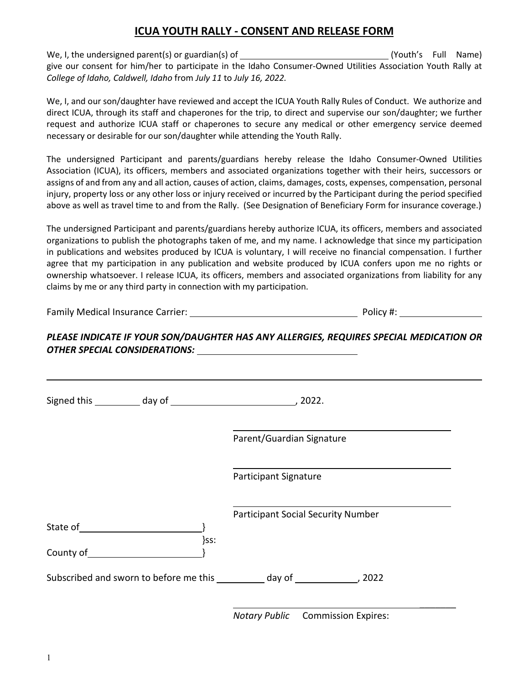## **ICUA YOUTH RALLY - CONSENT AND RELEASE FORM**

We, I, the undersigned parent(s) or guardian(s) of (Youth's Full Name) give our consent for him/her to participate in the Idaho Consumer-Owned Utilities Association Youth Rally at *College of Idaho, Caldwell, Idaho* from *July 11* to *July 16, 2022.*

We, I, and our son/daughter have reviewed and accept the ICUA Youth Rally Rules of Conduct. We authorize and direct ICUA, through its staff and chaperones for the trip, to direct and supervise our son/daughter; we further request and authorize ICUA staff or chaperones to secure any medical or other emergency service deemed necessary or desirable for our son/daughter while attending the Youth Rally.

The undersigned Participant and parents/guardians hereby release the Idaho Consumer-Owned Utilities Association (ICUA), its officers, members and associated organizations together with their heirs, successors or assigns of and from any and all action, causes of action, claims, damages, costs, expenses, compensation, personal injury, property loss or any other loss or injury received or incurred by the Participant during the period specified above as well as travel time to and from the Rally. (See Designation of Beneficiary Form for insurance coverage.)

The undersigned Participant and parents/guardians hereby authorize ICUA, its officers, members and associated organizations to publish the photographs taken of me, and my name. I acknowledge that since my participation in publications and websites produced by ICUA is voluntary, I will receive no financial compensation. I further agree that my participation in any publication and website produced by ICUA confers upon me no rights or ownership whatsoever. I release ICUA, its officers, members and associated organizations from liability for any claims by me or any third party in connection with my participation.

Family Medical Insurance Carrier: Network Contains a Policy #: Network Policy #:

## *PLEASE INDICATE IF YOUR SON/DAUGHTER HAS ANY ALLERGIES, REQUIRES SPECIAL MEDICATION OR OTHER SPECIAL CONSIDERATIONS:*

|                                         | Parent/Guardian Signature                                                        |
|-----------------------------------------|----------------------------------------------------------------------------------|
|                                         | <b>Participant Signature</b>                                                     |
|                                         | Participant Social Security Number                                               |
| County of the country of the country of | }ss:                                                                             |
|                                         | Subscribed and sworn to before me this ___________ day of ________________, 2022 |

*Notary Public* Commission Expires: